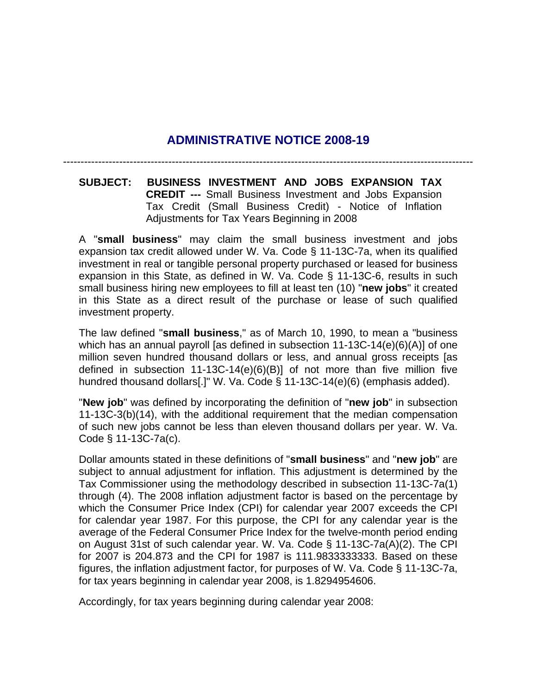## **ADMINISTRATIVE NOTICE 2008-19**

---------------------------------------------------------------------------------------------------------------------

**SUBJECT: BUSINESS INVESTMENT AND JOBS EXPANSION TAX CREDIT ---** Small Business Investment and Jobs Expansion Tax Credit (Small Business Credit) - Notice of Inflation Adjustments for Tax Years Beginning in 2008

A "**small business**" may claim the small business investment and jobs expansion tax credit allowed under W. Va. Code § 11-13C-7a, when its qualified investment in real or tangible personal property purchased or leased for business expansion in this State, as defined in W. Va. Code § 11-13C-6, results in such small business hiring new employees to fill at least ten (10) "**new jobs**" it created in this State as a direct result of the purchase or lease of such qualified investment property.

The law defined "**small business**," as of March 10, 1990, to mean a "business which has an annual payroll [as defined in subsection 11-13C-14(e)(6)(A)] of one million seven hundred thousand dollars or less, and annual gross receipts [as defined in subsection 11-13C-14(e)(6)(B)] of not more than five million five hundred thousand dollars[.]" W. Va. Code § 11-13C-14(e)(6) (emphasis added).

"**New job**" was defined by incorporating the definition of "**new job**" in subsection 11-13C-3(b)(14), with the additional requirement that the median compensation of such new jobs cannot be less than eleven thousand dollars per year. W. Va. Code § 11-13C-7a(c).

Dollar amounts stated in these definitions of "**small business**" and "**new job**" are subject to annual adjustment for inflation. This adjustment is determined by the Tax Commissioner using the methodology described in subsection 11-13C-7a(1) through (4). The 2008 inflation adjustment factor is based on the percentage by which the Consumer Price Index (CPI) for calendar year 2007 exceeds the CPI for calendar year 1987. For this purpose, the CPI for any calendar year is the average of the Federal Consumer Price Index for the twelve-month period ending on August 31st of such calendar year. W. Va. Code § 11-13C-7a(A)(2). The CPI for 2007 is 204.873 and the CPI for 1987 is 111.9833333333. Based on these figures, the inflation adjustment factor, for purposes of W. Va. Code § 11-13C-7a, for tax years beginning in calendar year 2008, is 1.8294954606.

Accordingly, for tax years beginning during calendar year 2008: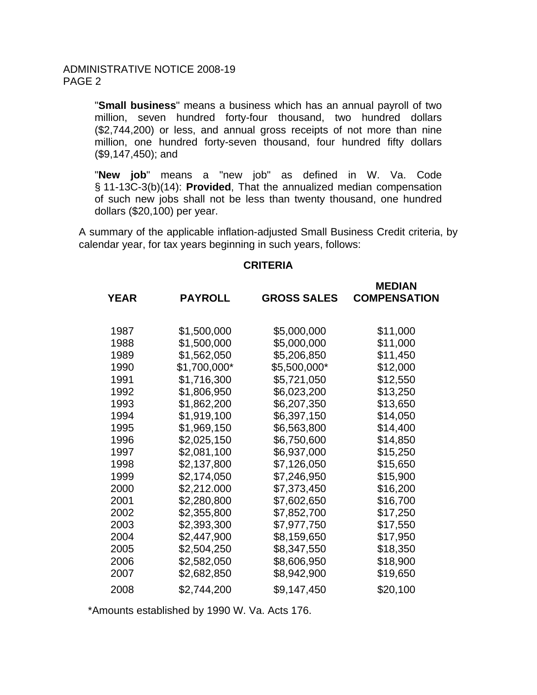"**Small business**" means a business which has an annual payroll of two million, seven hundred forty-four thousand, two hundred dollars (\$2,744,200) or less, and annual gross receipts of not more than nine million, one hundred forty-seven thousand, four hundred fifty dollars (\$9,147,450); and

"**New job**" means a "new job" as defined in W. Va. Code § 11-13C-3(b)(14): **Provided**, That the annualized median compensation of such new jobs shall not be less than twenty thousand, one hundred dollars (\$20,100) per year.

A summary of the applicable inflation-adjusted Small Business Credit criteria, by calendar year, for tax years beginning in such years, follows:

## **CRITERIA**

| <b>YEAR</b> | <b>PAYROLL</b> | <b>GROSS SALES</b> | <b>MEDIAN</b><br><b>COMPENSATION</b> |
|-------------|----------------|--------------------|--------------------------------------|
| 1987        | \$1,500,000    | \$5,000,000        | \$11,000                             |
| 1988        | \$1,500,000    | \$5,000,000        | \$11,000                             |
| 1989        | \$1,562,050    | \$5,206,850        | \$11,450                             |
| 1990        | \$1,700,000*   | \$5,500,000*       | \$12,000                             |
| 1991        | \$1,716,300    | \$5,721,050        | \$12,550                             |
| 1992        | \$1,806,950    | \$6,023,200        | \$13,250                             |
| 1993        | \$1,862,200    | \$6,207,350        | \$13,650                             |
| 1994        | \$1,919,100    | \$6,397,150        | \$14,050                             |
| 1995        | \$1,969,150    | \$6,563,800        | \$14,400                             |
| 1996        | \$2,025,150    | \$6,750,600        | \$14,850                             |
| 1997        | \$2,081,100    | \$6,937,000        | \$15,250                             |
| 1998        | \$2,137,800    | \$7,126,050        | \$15,650                             |
| 1999        | \$2,174,050    | \$7,246,950        | \$15,900                             |
| 2000        | \$2,212.000    | \$7,373,450        | \$16,200                             |
| 2001        | \$2,280,800    | \$7,602,650        | \$16,700                             |
| 2002        | \$2,355,800    | \$7,852,700        | \$17,250                             |
| 2003        | \$2,393,300    | \$7,977,750        | \$17,550                             |
| 2004        | \$2,447,900    | \$8,159,650        | \$17,950                             |
| 2005        | \$2,504,250    | \$8,347,550        | \$18,350                             |
| 2006        | \$2,582,050    | \$8,606,950        | \$18,900                             |
| 2007        | \$2,682,850    | \$8,942,900        | \$19,650                             |
| 2008        | \$2,744,200    | \$9,147,450        | \$20,100                             |

\*Amounts established by 1990 W. Va. Acts 176.